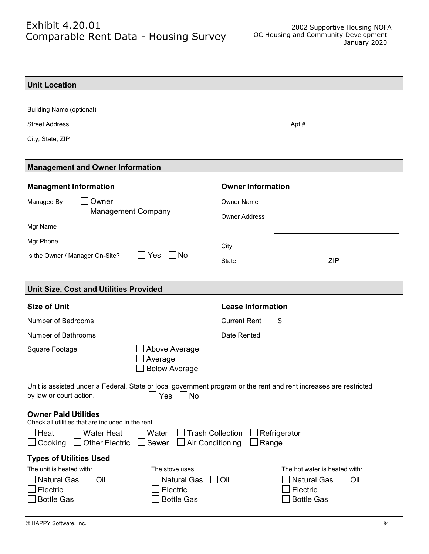## Exhibit 4.20.01 Comparable Rent Data - Housing Survey

| Apt #                     |                                                                                                                                                                                                                                                                                     |
|---------------------------|-------------------------------------------------------------------------------------------------------------------------------------------------------------------------------------------------------------------------------------------------------------------------------------|
|                           |                                                                                                                                                                                                                                                                                     |
|                           |                                                                                                                                                                                                                                                                                     |
|                           |                                                                                                                                                                                                                                                                                     |
| <b>Owner Information</b>  |                                                                                                                                                                                                                                                                                     |
| <b>Owner Name</b>         |                                                                                                                                                                                                                                                                                     |
|                           |                                                                                                                                                                                                                                                                                     |
|                           |                                                                                                                                                                                                                                                                                     |
|                           |                                                                                                                                                                                                                                                                                     |
|                           |                                                                                                                                                                                                                                                                                     |
|                           | ZIP _______________                                                                                                                                                                                                                                                                 |
|                           |                                                                                                                                                                                                                                                                                     |
|                           |                                                                                                                                                                                                                                                                                     |
| <b>Lease Information</b>  |                                                                                                                                                                                                                                                                                     |
| <b>Current Rent</b><br>\$ | <u> 1990 - Jan Barbara Barat, prima populație de la proprietat de la proprietat de la proprietat de la proprietat</u>                                                                                                                                                               |
| Date Rented               | $\mathcal{L}(\mathcal{L}(\mathcal{L}))$ and $\mathcal{L}(\mathcal{L}(\mathcal{L}))$ and $\mathcal{L}(\mathcal{L}(\mathcal{L}))$ . Then                                                                                                                                              |
|                           |                                                                                                                                                                                                                                                                                     |
|                           |                                                                                                                                                                                                                                                                                     |
|                           |                                                                                                                                                                                                                                                                                     |
|                           |                                                                                                                                                                                                                                                                                     |
|                           |                                                                                                                                                                                                                                                                                     |
| Refrigerator<br>Range     |                                                                                                                                                                                                                                                                                     |
|                           |                                                                                                                                                                                                                                                                                     |
|                           | The hot water is heated with:                                                                                                                                                                                                                                                       |
|                           |                                                                                                                                                                                                                                                                                     |
| Oil<br>Electric           | <b>Natural Gas</b><br>$\Box$ Oil                                                                                                                                                                                                                                                    |
|                           | the contract of the contract of the contract of the contract of the contract of<br><b>Owner Address</b><br>City<br>Unit is assisted under a Federal, State or local government program or the rent and rent increases are restricted<br><b>Trash Collection</b><br>Air Conditioning |